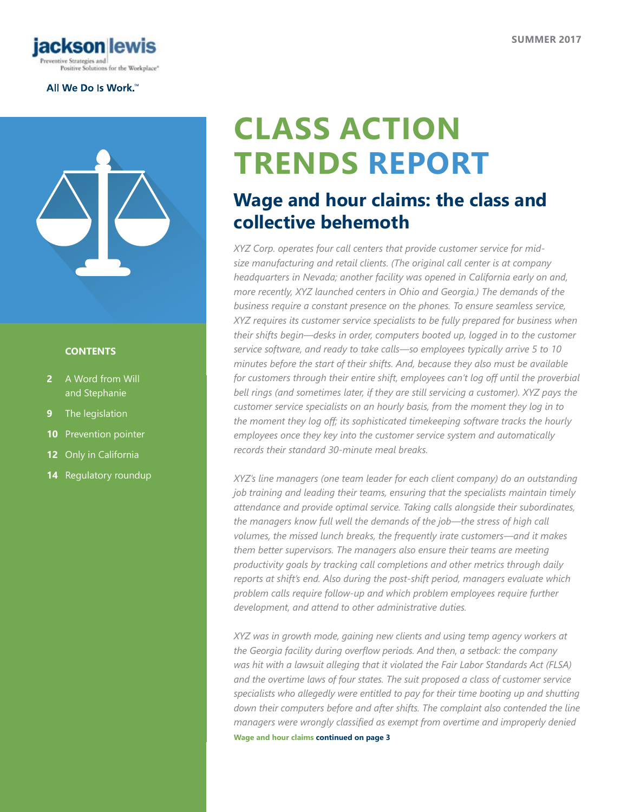

### All We Do Is Work.<sup>\*\*</sup>



### **CONTENTS**

- **2** [A Word from Will](#page-1-0)  [and Stephanie](#page-1-0)
- **9** [The legislation](#page-8-0)
- **10** [Prevention pointer](#page-9-0)
- **12** [Only in California](#page-11-0)
- **14** [Regulatory roundup](#page-13-0)

# **CLASS ACTION TRENDS REPORT**

## **Wage and hour claims: the class and collective behemoth**

*XYZ Corp. operates four call centers that provide customer service for midsize manufacturing and retail clients. (The original call center is at company headquarters in Nevada; another facility was opened in California early on and, more recently, XYZ launched centers in Ohio and Georgia.) The demands of the business require a constant presence on the phones. To ensure seamless service, XYZ requires its customer service specialists to be fully prepared for business when their shifts begin—desks in order, computers booted up, logged in to the customer service software, and ready to take calls—so employees typically arrive 5 to 10 minutes before the start of their shifts. And, because they also must be available for customers through their entire shift, employees can't log off until the proverbial bell rings (and sometimes later, if they are still servicing a customer). XYZ pays the customer service specialists on an hourly basis, from the moment they log in to the moment they log off; its sophisticated timekeeping software tracks the hourly employees once they key into the customer service system and automatically records their standard 30-minute meal breaks.*

*XYZ's line managers (one team leader for each client company) do an outstanding job training and leading their teams, ensuring that the specialists maintain timely attendance and provide optimal service. Taking calls alongside their subordinates, the managers know full well the demands of the job—the stress of high call volumes, the missed lunch breaks, the frequently irate customers—and it makes them better supervisors. The managers also ensure their teams are meeting productivity goals by tracking call completions and other metrics through daily reports at shift's end. Also during the post-shift period, managers evaluate which problem calls require follow-up and which problem employees require further development, and attend to other administrative duties.*

*XYZ was in growth mode, gaining new clients and using temp agency workers at the Georgia facility during overflow periods. And then, a setback: the company was hit with a lawsuit alleging that it violated the Fair Labor Standards Act (FLSA) and the overtime laws of four states. The suit proposed a class of customer service specialists who allegedly were entitled to pay for their time booting up and shutting*  down their computers before and after shifts. The complaint also contended the line *managers were wrongly classified as exempt from overtime and improperly denied* 

**Wage and hour claims continued on page 3**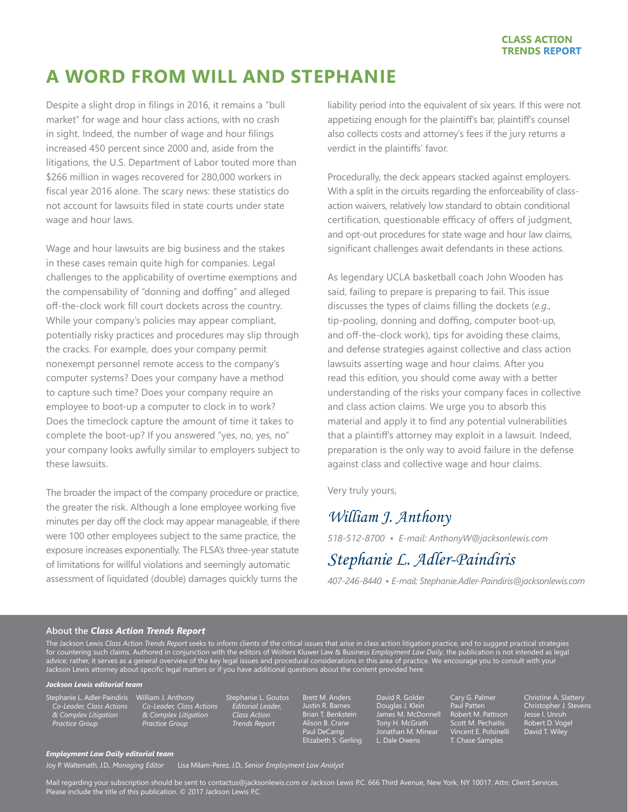## <span id="page-1-0"></span>**A WORD FROM WILL AND STEPHANIE**

Despite a slight drop in filings in 2016, it remains a "bull market" for wage and hour class actions, with no crash in sight. Indeed, the number of wage and hour filings increased 450 percent since 2000 and, aside from the litigations, the U.S. Department of Labor touted more than \$266 million in wages recovered for 280,000 workers in fiscal year 2016 alone. The scary news: these statistics do not account for lawsuits filed in state courts under state wage and hour laws.

Wage and hour lawsuits are big business and the stakes in these cases remain quite high for companies. Legal challenges to the applicability of overtime exemptions and the compensability of "donning and doffing" and alleged off-the-clock work fill court dockets across the country. While your company's policies may appear compliant, potentially risky practices and procedures may slip through the cracks. For example, does your company permit nonexempt personnel remote access to the company's computer systems? Does your company have a method to capture such time? Does your company require an employee to boot-up a computer to clock in to work? Does the timeclock capture the amount of time it takes to complete the boot-up? If you answered "yes, no, yes, no" your company looks awfully similar to employers subject to these lawsuits.

The broader the impact of the company procedure or practice, the greater the risk. Although a lone employee working five minutes per day off the clock may appear manageable, if there were 100 other employees subject to the same practice, the exposure increases exponentially. The FLSA's three-year statute of limitations for willful violations and seemingly automatic assessment of liquidated (double) damages quickly turns the

liability period into the equivalent of six years. If this were not appetizing enough for the plaintiff's bar, plaintiff's counsel also collects costs and attorney's fees if the jury returns a verdict in the plaintiffs' favor.

Procedurally, the deck appears stacked against employers. With a split in the circuits regarding the enforceability of classaction waivers, relatively low standard to obtain conditional certification, questionable efficacy of offers of judgment, and opt-out procedures for state wage and hour law claims, significant challenges await defendants in these actions.

As legendary UCLA basketball coach John Wooden has said, failing to prepare is preparing to fail. This issue discusses the types of claims filling the dockets (*e.g.*, tip-pooling, donning and doffing, computer boot-up, and off-the-clock work), tips for avoiding these claims, and defense strategies against collective and class action lawsuits asserting wage and hour claims. After you read this edition, you should come away with a better understanding of the risks your company faces in collective and class action claims. We urge you to absorb this material and apply it to find any potential vulnerabilities that a plaintiff's attorney may exploit in a lawsuit. Indeed, preparation is the only way to avoid failure in the defense against class and collective wage and hour claims.

Very truly yours,

### *William J. Anthony*

*518-512-8700 • E-mail: AnthonyW@jacksonlewis.com*

## *Stephanie L. Adler-Paindiris*

*407-246-8440 • E-mail: Stephanie.Adler-Paindiris@jacksonlewis.com*

### **About the** *Class Action Trends Report*

The Jackson Lewis *Class Action Trends Report* seeks to inform clients of the critical issues that arise in class action litigation practice, and to suggest practical strategies for countering such claims. Authored in conjunction with the editors of Wolters Kluwer Law & Business *Employment Law Daily*, the publication is not intended as legal advice; rather, it serves as a general overview of the key legal issues and procedural considerations in this area of practice. We encourage you to consult with your Jackson Lewis attorney about specific legal matters or if you have additional questions about the content provided here.

#### *Jackson Lewis editorial team*

Stephanie L. Adler-Paindiris *Co-Leader, Class Actions & Complex Litigation Practice Group*

William J. Anthony *Co-Leader, Class Actions & Complex Litigation Practice Group*

Stephanie L. Goutos *Editorial Leader, Class Action Trends Report*

Brett M. Anders Justin R. Barnes Brian T. Benkstein Alison B. Crane Paul DeCamp Elizabeth S. Gerling David R. Golder Douglas J. Klein James M. McDonnell Tony H. McGrath Jonathan M. Minear L. Dale Owens

Cary G. Palmer Paul Patten Robert M. Pattison Scott M. Pechaitis Vincent E. Polsinelli T. Chase Samples

Christine A. Slattery Christopher J. Stevens Jesse I. Unruh Robert D. Vogel David T. Wiley

#### *Employment Law Daily editorial team*

Joy P. Waltemath, J.D., *Managing Editor* Lisa Milam-Perez, J.D., *Senior Employment Law Analyst*

Mail regarding your subscription should be sent to contactus@jacksonlewis.com or Jackson Lewis P.C. 666 Third Avenue, New York, NY 10017. Attn: Client Services. Please include the title of this publication. © 2017 Jackson Lewis P.C.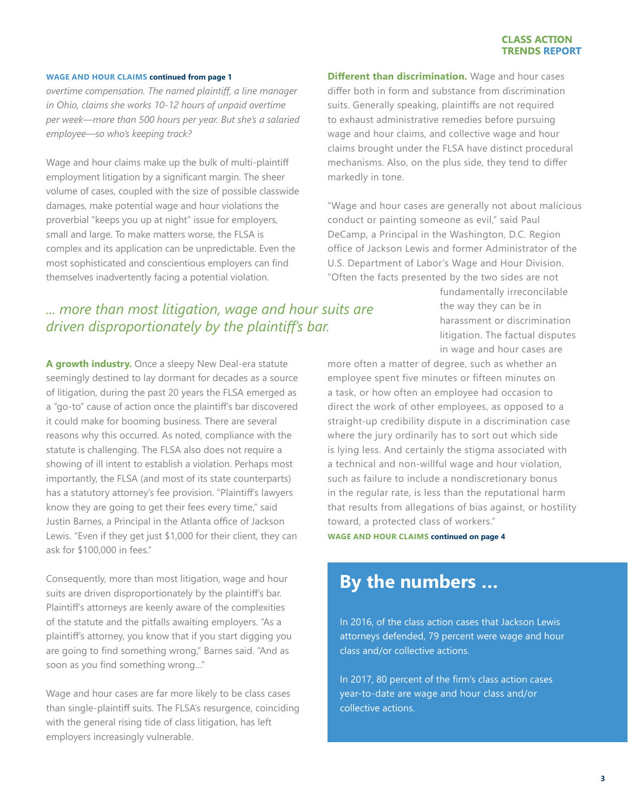*overtime compensation. The named plaintiff, a line manager in Ohio, claims she works 10-12 hours of unpaid overtime per week—more than 500 hours per year. But she's a salaried employee—so who's keeping track?*

Wage and hour claims make up the bulk of multi-plaintiff employment litigation by a significant margin. The sheer volume of cases, coupled with the size of possible classwide damages, make potential wage and hour violations the proverbial "keeps you up at night" issue for employers, small and large. To make matters worse, the FLSA is complex and its application can be unpredictable. Even the most sophisticated and conscientious employers can find themselves inadvertently facing a potential violation.

**Different than discrimination.** Wage and hour cases differ both in form and substance from discrimination suits. Generally speaking, plaintiffs are not required to exhaust administrative remedies before pursuing wage and hour claims, and collective wage and hour claims brought under the FLSA have distinct procedural mechanisms. Also, on the plus side, they tend to differ markedly in tone.

"Wage and hour cases are generally not about malicious conduct or painting someone as evil," said Paul DeCamp, a Principal in the Washington, D.C. Region office of Jackson Lewis and former Administrator of the U.S. Department of Labor's Wage and Hour Division. "Often the facts presented by the two sides are not

### *... more than most litigation, wage and hour suits are driven disproportionately by the plaintiff's bar.*

**A growth industry.** Once a sleepy New Deal-era statute seemingly destined to lay dormant for decades as a source of litigation, during the past 20 years the FLSA emerged as a "go-to" cause of action once the plaintiff's bar discovered it could make for booming business. There are several reasons why this occurred. As noted, compliance with the statute is challenging. The FLSA also does not require a showing of ill intent to establish a violation. Perhaps most importantly, the FLSA (and most of its state counterparts) has a statutory attorney's fee provision. "Plaintiff's lawyers know they are going to get their fees every time," said Justin Barnes, a Principal in the Atlanta office of Jackson Lewis. "Even if they get just \$1,000 for their client, they can ask for \$100,000 in fees."

Consequently, more than most litigation, wage and hour suits are driven disproportionately by the plaintiff's bar. Plaintiff's attorneys are keenly aware of the complexities of the statute and the pitfalls awaiting employers. "As a plaintiff's attorney, you know that if you start digging you are going to find something wrong," Barnes said. "And as soon as you find something wrong…"

Wage and hour cases are far more likely to be class cases than single-plaintiff suits. The FLSA's resurgence, coinciding with the general rising tide of class litigation, has left employers increasingly vulnerable.

fundamentally irreconcilable the way they can be in harassment or discrimination litigation. The factual disputes in wage and hour cases are

more often a matter of degree, such as whether an employee spent five minutes or fifteen minutes on a task, or how often an employee had occasion to direct the work of other employees, as opposed to a straight-up credibility dispute in a discrimination case where the jury ordinarily has to sort out which side is lying less. And certainly the stigma associated with a technical and non-willful wage and hour violation, such as failure to include a nondiscretionary bonus in the regular rate, is less than the reputational harm that results from allegations of bias against, or hostility toward, a protected class of workers."

**WAGE AND HOUR CLAIMS continued on page 4**

## **By the numbers …**

In 2016, of the class action cases that Jackson Lewis attorneys defended, 79 percent were wage and hour class and/or collective actions.

In 2017, 80 percent of the firm's class action cases year-to-date are wage and hour class and/or collective actions.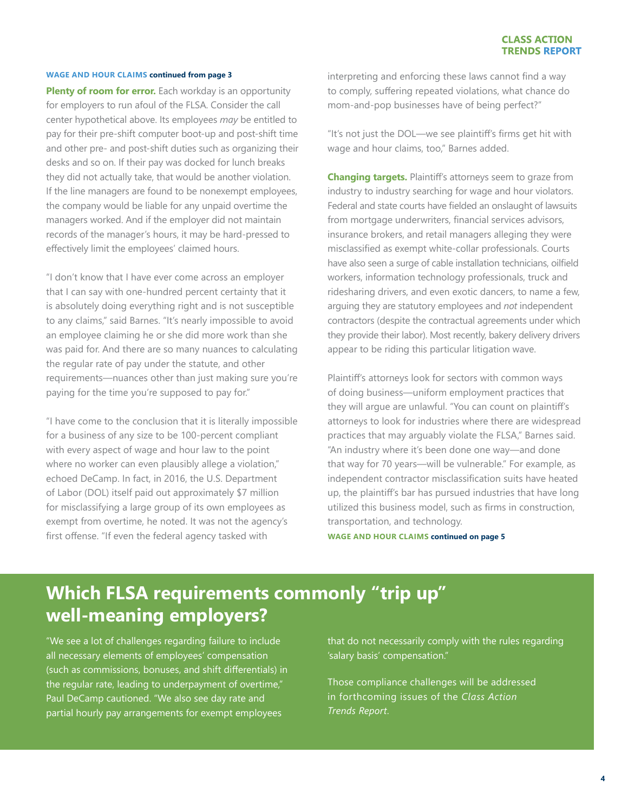**Plenty of room for error.** Each workday is an opportunity for employers to run afoul of the FLSA. Consider the call center hypothetical above. Its employees *may* be entitled to pay for their pre-shift computer boot-up and post-shift time and other pre- and post-shift duties such as organizing their desks and so on. If their pay was docked for lunch breaks they did not actually take, that would be another violation. If the line managers are found to be nonexempt employees, the company would be liable for any unpaid overtime the managers worked. And if the employer did not maintain records of the manager's hours, it may be hard-pressed to effectively limit the employees' claimed hours.

"I don't know that I have ever come across an employer that I can say with one-hundred percent certainty that it is absolutely doing everything right and is not susceptible to any claims," said Barnes. "It's nearly impossible to avoid an employee claiming he or she did more work than she was paid for. And there are so many nuances to calculating the regular rate of pay under the statute, and other requirements—nuances other than just making sure you're paying for the time you're supposed to pay for."

"I have come to the conclusion that it is literally impossible for a business of any size to be 100-percent compliant with every aspect of wage and hour law to the point where no worker can even plausibly allege a violation," echoed DeCamp. In fact, in 2016, the U.S. Department of Labor (DOL) itself paid out approximately \$7 million for misclassifying a large group of its own employees as exempt from overtime, he noted. It was not the agency's first offense. "If even the federal agency tasked with

interpreting and enforcing these laws cannot find a way to comply, suffering repeated violations, what chance do mom-and-pop businesses have of being perfect?"

"It's not just the DOL—we see plaintiff's firms get hit with wage and hour claims, too," Barnes added.

**Changing targets.** Plaintiff's attorneys seem to graze from industry to industry searching for wage and hour violators. Federal and state courts have fielded an onslaught of lawsuits from mortgage underwriters, financial services advisors, insurance brokers, and retail managers alleging they were misclassified as exempt white-collar professionals. Courts have also seen a surge of cable installation technicians, oilfield workers, information technology professionals, truck and ridesharing drivers, and even exotic dancers, to name a few, arguing they are statutory employees and *not* independent contractors (despite the contractual agreements under which they provide their labor). Most recently, bakery delivery drivers appear to be riding this particular litigation wave.

Plaintiff's attorneys look for sectors with common ways of doing business—uniform employment practices that they will argue are unlawful. "You can count on plaintiff's attorneys to look for industries where there are widespread practices that may arguably violate the FLSA," Barnes said. "An industry where it's been done one way—and done that way for 70 years—will be vulnerable." For example, as independent contractor misclassification suits have heated up, the plaintiff's bar has pursued industries that have long utilized this business model, such as firms in construction, transportation, and technology.

**WAGE AND HOUR CLAIMS continued on page 5**

## **Which FLSA requirements commonly "trip up" well-meaning employers?**

"We see a lot of challenges regarding failure to include all necessary elements of employees' compensation (such as commissions, bonuses, and shift differentials) in the regular rate, leading to underpayment of overtime," Paul DeCamp cautioned. "We also see day rate and partial hourly pay arrangements for exempt employees

that do not necessarily comply with the rules regarding 'salary basis' compensation."

Those compliance challenges will be addressed in forthcoming issues of the *Class Action Trends Report*.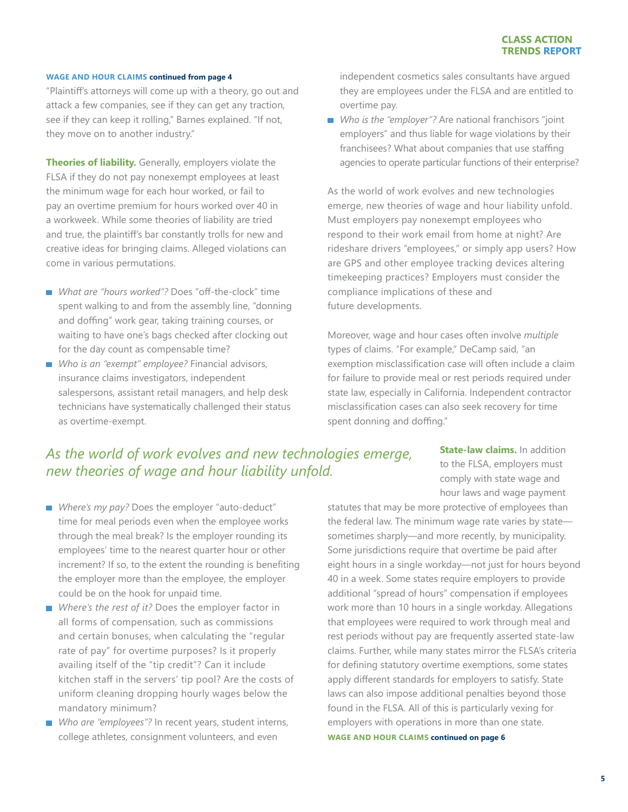"Plaintiff's attorneys will come up with a theory, go out and attack a few companies, see if they can get any traction, see if they can keep it rolling," Barnes explained. "If not, they move on to another industry."

**Theories of liability.** Generally, employers violate the FLSA if they do not pay nonexempt employees at least the minimum wage for each hour worked, or fail to pay an overtime premium for hours worked over 40 in a workweek. While some theories of liability are tried and true, the plaintiff's bar constantly trolls for new and creative ideas for bringing claims. Alleged violations can come in various permutations.

- What are "hours worked"? Does "off-the-clock" time spent walking to and from the assembly line, "donning and doffing" work gear, taking training courses, or waiting to have one's bags checked after clocking out for the day count as compensable time?
- *Who is an "exempt" employee?* Financial advisors, insurance claims investigators, independent salespersons, assistant retail managers, and help desk technicians have systematically challenged their status as overtime-exempt.

independent cosmetics sales consultants have argued they are employees under the FLSA and are entitled to overtime pay.

■ Who is the "employer"? Are national franchisors "joint employers" and thus liable for wage violations by their franchisees? What about companies that use staffing agencies to operate particular functions of their enterprise?

As the world of work evolves and new technologies emerge, new theories of wage and hour liability unfold. Must employers pay nonexempt employees who respond to their work email from home at night? Are rideshare drivers "employees," or simply app users? How are GPS and other employee tracking devices altering timekeeping practices? Employers must consider the compliance implications of these and future developments.

Moreover, wage and hour cases often involve *multiple* types of claims. "For example," DeCamp said, "an exemption misclassification case will often include a claim for failure to provide meal or rest periods required under state law, especially in California. Independent contractor misclassification cases can also seek recovery for time spent donning and doffing."

### *As the world of work evolves and new technologies emerge, new theories of wage and hour liability unfold.*

**State-law claims.** In addition to the FLSA, employers must comply with state wage and hour laws and wage payment

- Where's my pay? Does the employer "auto-deduct" time for meal periods even when the employee works through the meal break? Is the employer rounding its employees' time to the nearest quarter hour or other increment? If so, to the extent the rounding is benefiting the employer more than the employee, the employer could be on the hook for unpaid time.
- Where's the rest of it? Does the employer factor in all forms of compensation, such as commissions and certain bonuses, when calculating the "regular rate of pay" for overtime purposes? Is it properly availing itself of the "tip credit"? Can it include kitchen staff in the servers' tip pool? Are the costs of uniform cleaning dropping hourly wages below the mandatory minimum?
- Who are "employees"? In recent years, student interns, college athletes, consignment volunteers, and even

statutes that may be more protective of employees than the federal law. The minimum wage rate varies by state sometimes sharply—and more recently, by municipality. Some jurisdictions require that overtime be paid after eight hours in a single workday—not just for hours beyond 40 in a week. Some states require employers to provide additional "spread of hours" compensation if employees work more than 10 hours in a single workday. Allegations that employees were required to work through meal and rest periods without pay are frequently asserted state-law claims. Further, while many states mirror the FLSA's criteria for defining statutory overtime exemptions, some states apply different standards for employers to satisfy. State laws can also impose additional penalties beyond those found in the FLSA. All of this is particularly vexing for employers with operations in more than one state. **WAGE AND HOUR CLAIMS continued on page 6**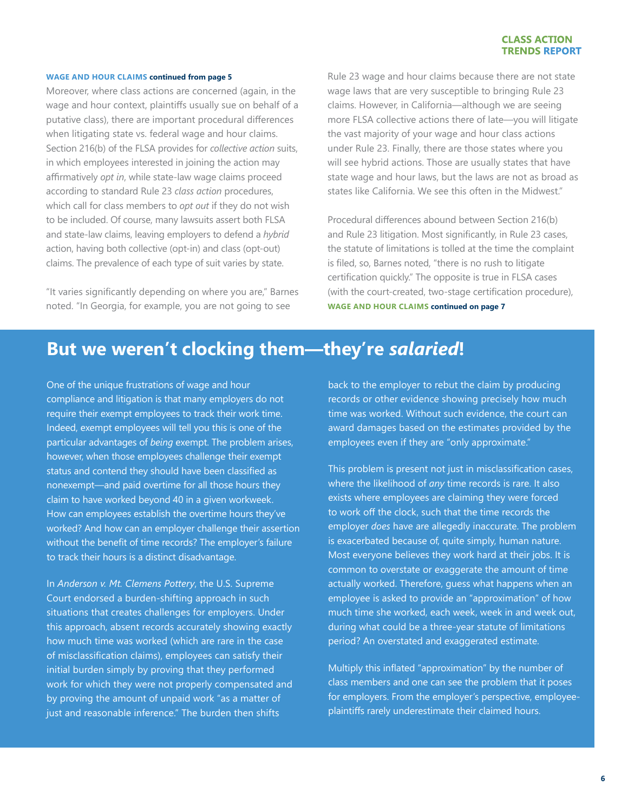#### **WAGE AND HOUR CLAIMS continued from page 5**

Moreover, where class actions are concerned (again, in the wage and hour context, plaintiffs usually sue on behalf of a putative class), there are important procedural differences when litigating state vs. federal wage and hour claims. Section 216(b) of the FLSA provides for *collective action* suits, in which employees interested in joining the action may affirmatively *opt in*, while state-law wage claims proceed according to standard Rule 23 *class action* procedures, which call for class members to *opt out* if they do not wish to be included. Of course, many lawsuits assert both FLSA and state-law claims, leaving employers to defend a *hybrid* action, having both collective (opt-in) and class (opt-out) claims. The prevalence of each type of suit varies by state.

"It varies significantly depending on where you are," Barnes noted. "In Georgia, for example, you are not going to see

Rule 23 wage and hour claims because there are not state wage laws that are very susceptible to bringing Rule 23 claims. However, in California—although we are seeing more FLSA collective actions there of late—you will litigate the vast majority of your wage and hour class actions under Rule 23. Finally, there are those states where you will see hybrid actions. Those are usually states that have state wage and hour laws, but the laws are not as broad as states like California. We see this often in the Midwest."

Procedural differences abound between Section 216(b) and Rule 23 litigation. Most significantly, in Rule 23 cases, the statute of limitations is tolled at the time the complaint is filed, so, Barnes noted, "there is no rush to litigate certification quickly." The opposite is true in FLSA cases (with the court-created, two-stage certification procedure), **WAGE AND HOUR CLAIMS continued on page 7**

### **But we weren't clocking them—they're** *salaried***!**

One of the unique frustrations of wage and hour compliance and litigation is that many employers do not require their exempt employees to track their work time. Indeed, exempt employees will tell you this is one of the particular advantages of *being* exempt. The problem arises, however, when those employees challenge their exempt status and contend they should have been classified as nonexempt—and paid overtime for all those hours they claim to have worked beyond 40 in a given workweek. How can employees establish the overtime hours they've worked? And how can an employer challenge their assertion without the benefit of time records? The employer's failure to track their hours is a distinct disadvantage.

In *Anderson v. Mt. Clemens Pottery*, the U.S. Supreme Court endorsed a burden-shifting approach in such situations that creates challenges for employers. Under this approach, absent records accurately showing exactly how much time was worked (which are rare in the case of misclassification claims), employees can satisfy their initial burden simply by proving that they performed work for which they were not properly compensated and by proving the amount of unpaid work "as a matter of just and reasonable inference." The burden then shifts

back to the employer to rebut the claim by producing records or other evidence showing precisely how much time was worked. Without such evidence, the court can award damages based on the estimates provided by the employees even if they are "only approximate."

This problem is present not just in misclassification cases, where the likelihood of *any* time records is rare. It also exists where employees are claiming they were forced to work off the clock, such that the time records the employer *does* have are allegedly inaccurate. The problem is exacerbated because of, quite simply, human nature. Most everyone believes they work hard at their jobs. It is common to overstate or exaggerate the amount of time actually worked. Therefore, guess what happens when an employee is asked to provide an "approximation" of how much time she worked, each week, week in and week out, during what could be a three-year statute of limitations period? An overstated and exaggerated estimate.

Multiply this inflated "approximation" by the number of class members and one can see the problem that it poses for employers. From the employer's perspective, employeeplaintiffs rarely underestimate their claimed hours.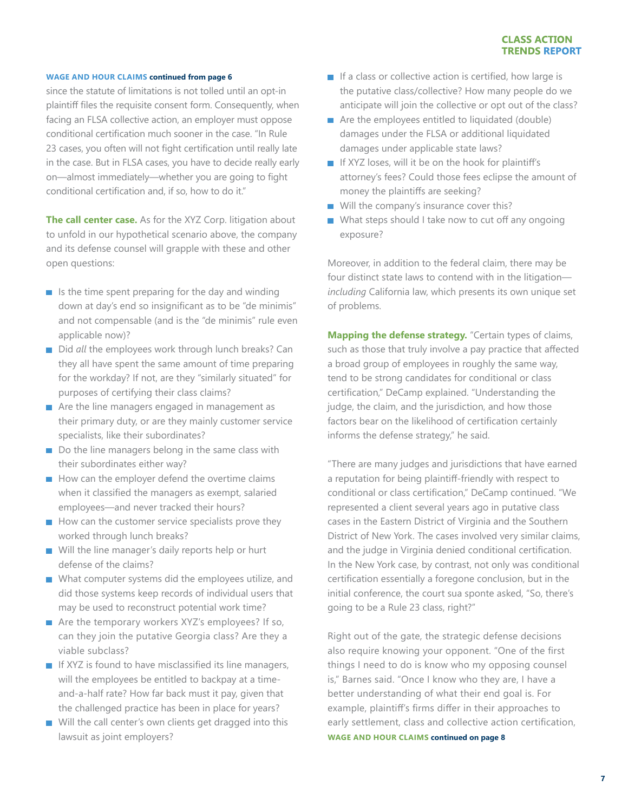since the statute of limitations is not tolled until an opt-in plaintiff files the requisite consent form. Consequently, when facing an FLSA collective action, an employer must oppose conditional certification much sooner in the case. "In Rule 23 cases, you often will not fight certification until really late in the case. But in FLSA cases, you have to decide really early on—almost immediately—whether you are going to fight conditional certification and, if so, how to do it."

**The call center case.** As for the XYZ Corp. litigation about to unfold in our hypothetical scenario above, the company and its defense counsel will grapple with these and other open questions:

- $\blacksquare$  Is the time spent preparing for the day and winding down at day's end so insignificant as to be "de minimis" and not compensable (and is the "de minimis" rule even applicable now)?
- Did *all* the employees work through lunch breaks? Can they all have spent the same amount of time preparing for the workday? If not, are they "similarly situated" for purposes of certifying their class claims?
- Are the line managers engaged in management as their primary duty, or are they mainly customer service specialists, like their subordinates?
- Do the line managers belong in the same class with their subordinates either way?
- $\blacksquare$  How can the employer defend the overtime claims when it classified the managers as exempt, salaried employees—and never tracked their hours?
- $\blacksquare$  How can the customer service specialists prove they worked through lunch breaks?
- Will the line manager's daily reports help or hurt defense of the claims?
- What computer systems did the employees utilize, and did those systems keep records of individual users that may be used to reconstruct potential work time?
- Are the temporary workers XYZ's employees? If so, can they join the putative Georgia class? Are they a viable subclass?
- If XYZ is found to have misclassified its line managers, will the employees be entitled to backpay at a timeand-a-half rate? How far back must it pay, given that the challenged practice has been in place for years?
- Will the call center's own clients get dragged into this lawsuit as joint employers?
- $\blacksquare$  If a class or collective action is certified, how large is the putative class/collective? How many people do we anticipate will join the collective or opt out of the class?
- Are the employees entitled to liquidated (double) damages under the FLSA or additional liquidated damages under applicable state laws?
- If XYZ loses, will it be on the hook for plaintiff's attorney's fees? Could those fees eclipse the amount of money the plaintiffs are seeking?
- Will the company's insurance cover this?
- What steps should I take now to cut off any ongoing exposure?

Moreover, in addition to the federal claim, there may be four distinct state laws to contend with in the litigation *including* California law, which presents its own unique set of problems.

**Mapping the defense strategy.** "Certain types of claims, such as those that truly involve a pay practice that affected a broad group of employees in roughly the same way, tend to be strong candidates for conditional or class certification," DeCamp explained. "Understanding the judge, the claim, and the jurisdiction, and how those factors bear on the likelihood of certification certainly informs the defense strategy," he said.

"There are many judges and jurisdictions that have earned a reputation for being plaintiff-friendly with respect to conditional or class certification," DeCamp continued. "We represented a client several years ago in putative class cases in the Eastern District of Virginia and the Southern District of New York. The cases involved very similar claims, and the judge in Virginia denied conditional certification. In the New York case, by contrast, not only was conditional certification essentially a foregone conclusion, but in the initial conference, the court sua sponte asked, "So, there's going to be a Rule 23 class, right?"

Right out of the gate, the strategic defense decisions also require knowing your opponent. "One of the first things I need to do is know who my opposing counsel is," Barnes said. "Once I know who they are, I have a better understanding of what their end goal is. For example, plaintiff's firms differ in their approaches to early settlement, class and collective action certification, **WAGE AND HOUR CLAIMS continued on page 8**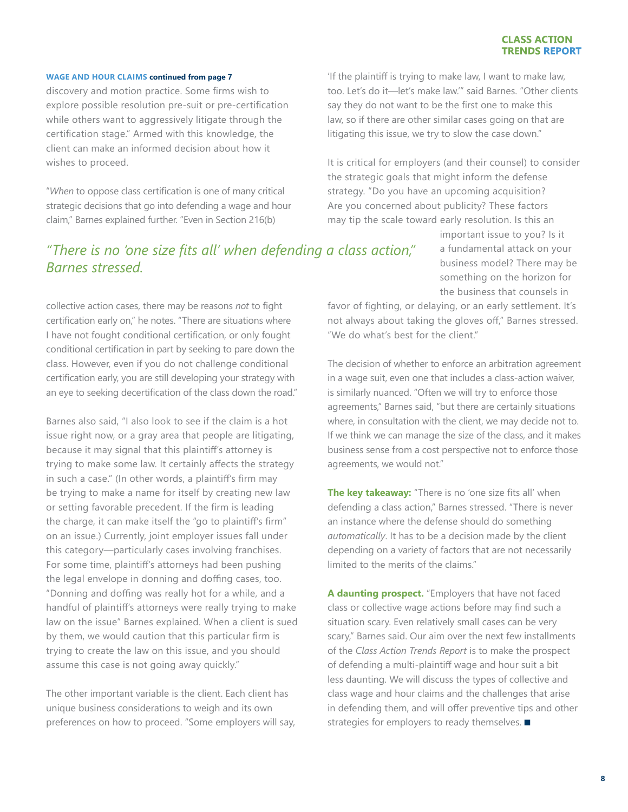#### **WAGE AND HOUR CLAIMS continued from page 7**

discovery and motion practice. Some firms wish to explore possible resolution pre-suit or pre-certification while others want to aggressively litigate through the certification stage." Armed with this knowledge, the client can make an informed decision about how it wishes to proceed.

"*When* to oppose class certification is one of many critical strategic decisions that go into defending a wage and hour claim," Barnes explained further. "Even in Section 216(b)

### *"There is no 'one size fits all' when defending a class action," Barnes stressed.*

collective action cases, there may be reasons *not* to fight certification early on," he notes. "There are situations where I have not fought conditional certification, or only fought conditional certification in part by seeking to pare down the class. However, even if you do not challenge conditional certification early, you are still developing your strategy with an eye to seeking decertification of the class down the road."

Barnes also said, "I also look to see if the claim is a hot issue right now, or a gray area that people are litigating, because it may signal that this plaintiff's attorney is trying to make some law. It certainly affects the strategy in such a case." (In other words, a plaintiff's firm may be trying to make a name for itself by creating new law or setting favorable precedent. If the firm is leading the charge, it can make itself the "go to plaintiff's firm" on an issue.) Currently, joint employer issues fall under this category—particularly cases involving franchises. For some time, plaintiff's attorneys had been pushing the legal envelope in donning and doffing cases, too. "Donning and doffing was really hot for a while, and a handful of plaintiff's attorneys were really trying to make law on the issue" Barnes explained. When a client is sued by them, we would caution that this particular firm is trying to create the law on this issue, and you should assume this case is not going away quickly."

The other important variable is the client. Each client has unique business considerations to weigh and its own preferences on how to proceed. "Some employers will say,

'If the plaintiff is trying to make law, I want to make law, too. Let's do it—let's make law.'" said Barnes. "Other clients say they do not want to be the first one to make this law, so if there are other similar cases going on that are litigating this issue, we try to slow the case down."

It is critical for employers (and their counsel) to consider the strategic goals that might inform the defense strategy. "Do you have an upcoming acquisition? Are you concerned about publicity? These factors may tip the scale toward early resolution. Is this an

> important issue to you? Is it a fundamental attack on your business model? There may be something on the horizon for the business that counsels in

favor of fighting, or delaying, or an early settlement. It's not always about taking the gloves off," Barnes stressed. "We do what's best for the client."

The decision of whether to enforce an arbitration agreement in a wage suit, even one that includes a class-action waiver, is similarly nuanced. "Often we will try to enforce those agreements," Barnes said, "but there are certainly situations where, in consultation with the client, we may decide not to. If we think we can manage the size of the class, and it makes business sense from a cost perspective not to enforce those agreements, we would not."

**The key takeaway:** "There is no 'one size fits all' when defending a class action," Barnes stressed. "There is never an instance where the defense should do something *automatically*. It has to be a decision made by the client depending on a variety of factors that are not necessarily limited to the merits of the claims."

**A daunting prospect.** "Employers that have not faced class or collective wage actions before may find such a situation scary. Even relatively small cases can be very scary," Barnes said. Our aim over the next few installments of the *Class Action Trends Report* is to make the prospect of defending a multi-plaintiff wage and hour suit a bit less daunting. We will discuss the types of collective and class wage and hour claims and the challenges that arise in defending them, and will offer preventive tips and other strategies for employers to ready themselves.  $\blacksquare$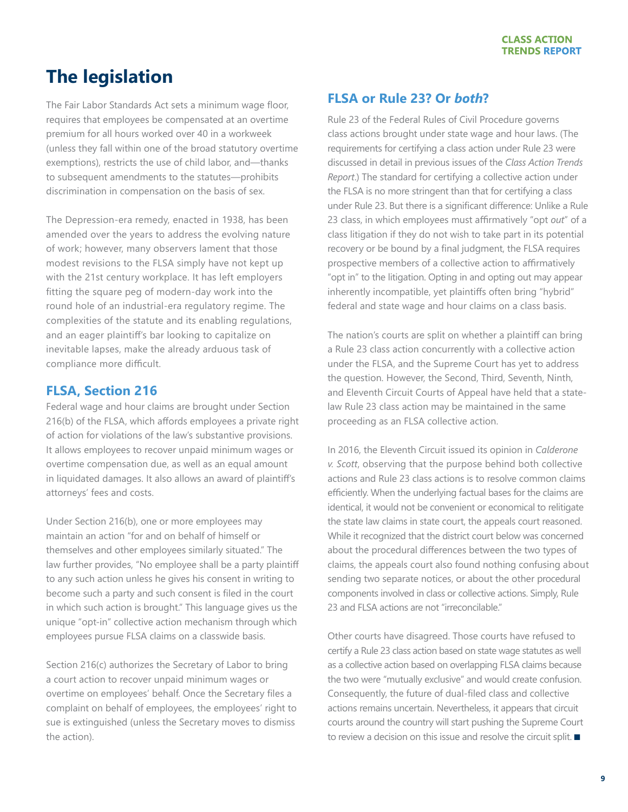## <span id="page-8-0"></span>**The legislation**

The Fair Labor Standards Act sets a minimum wage floor, requires that employees be compensated at an overtime premium for all hours worked over 40 in a workweek (unless they fall within one of the broad statutory overtime exemptions), restricts the use of child labor, and—thanks to subsequent amendments to the statutes—prohibits discrimination in compensation on the basis of sex.

The Depression-era remedy, enacted in 1938, has been amended over the years to address the evolving nature of work; however, many observers lament that those modest revisions to the FLSA simply have not kept up with the 21st century workplace. It has left employers fitting the square peg of modern-day work into the round hole of an industrial-era regulatory regime. The complexities of the statute and its enabling regulations, and an eager plaintiff's bar looking to capitalize on inevitable lapses, make the already arduous task of compliance more difficult.

### **FLSA, Section 216**

Federal wage and hour claims are brought under Section 216(b) of the FLSA, which affords employees a private right of action for violations of the law's substantive provisions. It allows employees to recover unpaid minimum wages or overtime compensation due, as well as an equal amount in liquidated damages. It also allows an award of plaintiff's attorneys' fees and costs.

Under Section 216(b), one or more employees may maintain an action "for and on behalf of himself or themselves and other employees similarly situated." The law further provides, "No employee shall be a party plaintiff to any such action unless he gives his consent in writing to become such a party and such consent is filed in the court in which such action is brought." This language gives us the unique "opt-in" collective action mechanism through which employees pursue FLSA claims on a classwide basis.

Section 216(c) authorizes the Secretary of Labor to bring a court action to recover unpaid minimum wages or overtime on employees' behalf. Once the Secretary files a complaint on behalf of employees, the employees' right to sue is extinguished (unless the Secretary moves to dismiss the action).

### **FLSA or Rule 23? Or** *both***?**

Rule 23 of the Federal Rules of Civil Procedure governs class actions brought under state wage and hour laws. (The requirements for certifying a class action under Rule 23 were discussed in detail in previous issues of the *Class Action Trends Report*.) The standard for certifying a collective action under the FLSA is no more stringent than that for certifying a class under Rule 23. But there is a significant difference: Unlike a Rule 23 class, in which employees must affirmatively "opt *out*" of a class litigation if they do not wish to take part in its potential recovery or be bound by a final judgment, the FLSA requires prospective members of a collective action to affirmatively "opt in" to the litigation. Opting in and opting out may appear inherently incompatible, yet plaintiffs often bring "hybrid" federal and state wage and hour claims on a class basis.

The nation's courts are split on whether a plaintiff can bring a Rule 23 class action concurrently with a collective action under the FLSA, and the Supreme Court has yet to address the question. However, the Second, Third, Seventh, Ninth, and Eleventh Circuit Courts of Appeal have held that a statelaw Rule 23 class action may be maintained in the same proceeding as an FLSA collective action.

In 2016, the Eleventh Circuit issued its opinion in *Calderone v. Scott*, observing that the purpose behind both collective actions and Rule 23 class actions is to resolve common claims efficiently. When the underlying factual bases for the claims are identical, it would not be convenient or economical to relitigate the state law claims in state court, the appeals court reasoned. While it recognized that the district court below was concerned about the procedural differences between the two types of claims, the appeals court also found nothing confusing about sending two separate notices, or about the other procedural components involved in class or collective actions. Simply, Rule 23 and FLSA actions are not "irreconcilable."

Other courts have disagreed. Those courts have refused to certify a Rule 23 class action based on state wage statutes as well as a collective action based on overlapping FLSA claims because the two were "mutually exclusive" and would create confusion. Consequently, the future of dual-filed class and collective actions remains uncertain. Nevertheless, it appears that circuit courts around the country will start pushing the Supreme Court to review a decision on this issue and resolve the circuit split.  $\blacksquare$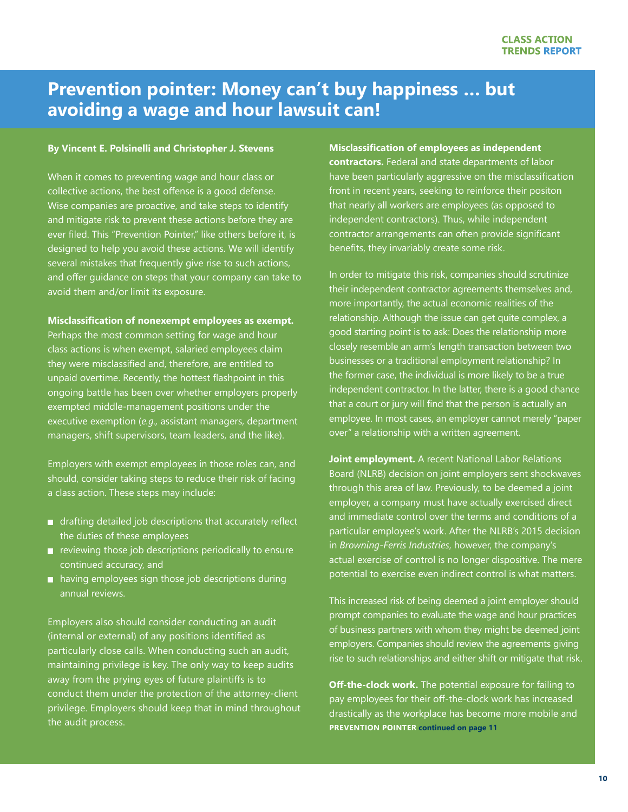## <span id="page-9-0"></span>**Prevention pointer: Money can't buy happiness … but avoiding a wage and hour lawsuit can!**

### **By Vincent E. Polsinelli and Christopher J. Stevens**

When it comes to preventing wage and hour class or collective actions, the best offense is a good defense. Wise companies are proactive, and take steps to identify and mitigate risk to prevent these actions before they are ever filed. This "Prevention Pointer," like others before it, is designed to help you avoid these actions. We will identify several mistakes that frequently give rise to such actions, and offer guidance on steps that your company can take to avoid them and/or limit its exposure.

### **Misclassification of nonexempt employees as exempt.**

Perhaps the most common setting for wage and hour class actions is when exempt, salaried employees claim they were misclassified and, therefore, are entitled to unpaid overtime. Recently, the hottest flashpoint in this ongoing battle has been over whether employers properly exempted middle-management positions under the executive exemption (*e.g.,* assistant managers, department managers, shift supervisors, team leaders, and the like).

Employers with exempt employees in those roles can, and should, consider taking steps to reduce their risk of facing a class action. These steps may include:

- drafting detailed job descriptions that accurately reflect the duties of these employees
- $\blacksquare$  reviewing those job descriptions periodically to ensure continued accuracy, and
- having employees sign those job descriptions during annual reviews.

Employers also should consider conducting an audit (internal or external) of any positions identified as particularly close calls. When conducting such an audit, maintaining privilege is key. The only way to keep audits away from the prying eyes of future plaintiffs is to conduct them under the protection of the attorney-client privilege. Employers should keep that in mind throughout the audit process.

**Misclassification of employees as independent** 

**contractors.** Federal and state departments of labor have been particularly aggressive on the misclassification front in recent years, seeking to reinforce their positon that nearly all workers are employees (as opposed to independent contractors). Thus, while independent contractor arrangements can often provide significant benefits, they invariably create some risk.

In order to mitigate this risk, companies should scrutinize their independent contractor agreements themselves and, more importantly, the actual economic realities of the relationship. Although the issue can get quite complex, a good starting point is to ask: Does the relationship more closely resemble an arm's length transaction between two businesses or a traditional employment relationship? In the former case, the individual is more likely to be a true independent contractor. In the latter, there is a good chance that a court or jury will find that the person is actually an employee. In most cases, an employer cannot merely "paper over" a relationship with a written agreement.

**Joint employment.** A recent National Labor Relations Board (NLRB) decision on joint employers sent shockwaves through this area of law. Previously, to be deemed a joint employer, a company must have actually exercised direct and immediate control over the terms and conditions of a particular employee's work. After the NLRB's 2015 decision in *Browning-Ferris Industries*, however, the company's actual exercise of control is no longer dispositive. The mere potential to exercise even indirect control is what matters.

This increased risk of being deemed a joint employer should prompt companies to evaluate the wage and hour practices of business partners with whom they might be deemed joint employers. Companies should review the agreements giving rise to such relationships and either shift or mitigate that risk.

**Off-the-clock work.** The potential exposure for failing to pay employees for their off-the-clock work has increased drastically as the workplace has become more mobile and **PREVENTION POINTER continued on page 11**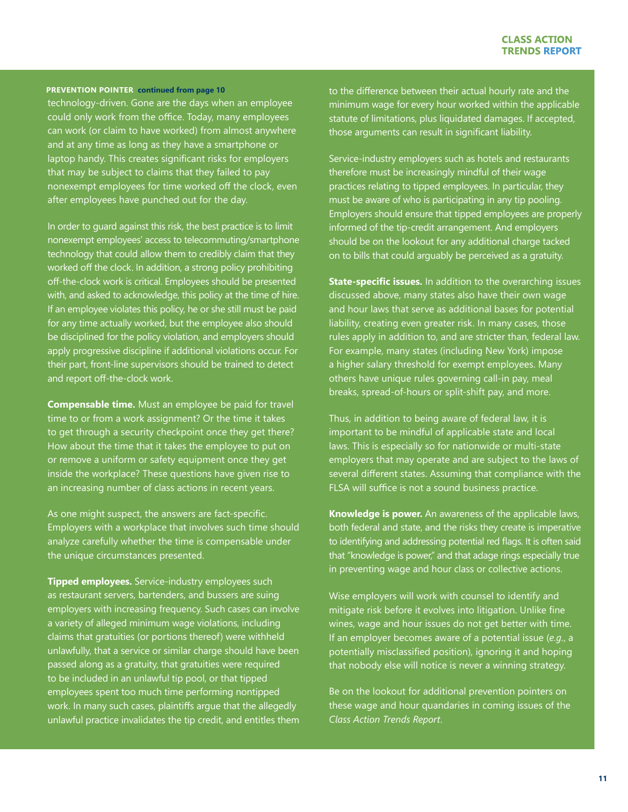#### **PREVENTION POINTER continued from page 10**

technology-driven. Gone are the days when an employee could only work from the office. Today, many employees can work (or claim to have worked) from almost anywhere and at any time as long as they have a smartphone or laptop handy. This creates significant risks for employers that may be subject to claims that they failed to pay nonexempt employees for time worked off the clock, even after employees have punched out for the day.

In order to guard against this risk, the best practice is to limit nonexempt employees' access to telecommuting/smartphone technology that could allow them to credibly claim that they worked off the clock. In addition, a strong policy prohibiting off-the-clock work is critical. Employees should be presented with, and asked to acknowledge, this policy at the time of hire. If an employee violates this policy, he or she still must be paid for any time actually worked, but the employee also should be disciplined for the policy violation, and employers should apply progressive discipline if additional violations occur. For their part, front-line supervisors should be trained to detect and report off-the-clock work.

**Compensable time.** Must an employee be paid for travel time to or from a work assignment? Or the time it takes to get through a security checkpoint once they get there? How about the time that it takes the employee to put on or remove a uniform or safety equipment once they get inside the workplace? These questions have given rise to an increasing number of class actions in recent years.

As one might suspect, the answers are fact-specific. Employers with a workplace that involves such time should analyze carefully whether the time is compensable under the unique circumstances presented.

**Tipped employees.** Service-industry employees such as restaurant servers, bartenders, and bussers are suing employers with increasing frequency. Such cases can involve a variety of alleged minimum wage violations, including claims that gratuities (or portions thereof) were withheld unlawfully, that a service or similar charge should have been passed along as a gratuity, that gratuities were required to be included in an unlawful tip pool, or that tipped employees spent too much time performing nontipped work. In many such cases, plaintiffs argue that the allegedly unlawful practice invalidates the tip credit, and entitles them

to the difference between their actual hourly rate and the minimum wage for every hour worked within the applicable statute of limitations, plus liquidated damages. If accepted, those arguments can result in significant liability.

Service-industry employers such as hotels and restaurants therefore must be increasingly mindful of their wage practices relating to tipped employees. In particular, they must be aware of who is participating in any tip pooling. Employers should ensure that tipped employees are properly informed of the tip-credit arrangement. And employers should be on the lookout for any additional charge tacked on to bills that could arguably be perceived as a gratuity.

**State-specific issues.** In addition to the overarching issues discussed above, many states also have their own wage and hour laws that serve as additional bases for potential liability, creating even greater risk. In many cases, those rules apply in addition to, and are stricter than, federal law. For example, many states (including New York) impose a higher salary threshold for exempt employees. Many others have unique rules governing call-in pay, meal breaks, spread-of-hours or split-shift pay, and more.

Thus, in addition to being aware of federal law, it is important to be mindful of applicable state and local laws. This is especially so for nationwide or multi-state employers that may operate and are subject to the laws of several different states. Assuming that compliance with the FLSA will suffice is not a sound business practice.

**Knowledge is power.** An awareness of the applicable laws, both federal and state, and the risks they create is imperative to identifying and addressing potential red flags. It is often said that "knowledge is power," and that adage rings especially true in preventing wage and hour class or collective actions.

Wise employers will work with counsel to identify and mitigate risk before it evolves into litigation. Unlike fine wines, wage and hour issues do not get better with time. If an employer becomes aware of a potential issue (*e.g.*, a potentially misclassified position), ignoring it and hoping that nobody else will notice is never a winning strategy.

Be on the lookout for additional prevention pointers on these wage and hour quandaries in coming issues of the *Class Action Trends Report*.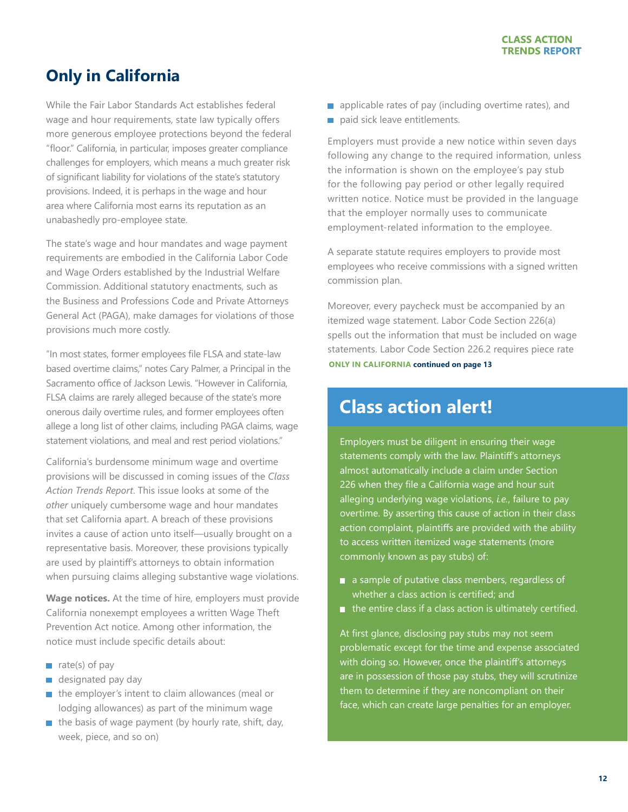## <span id="page-11-0"></span>**Only in California**

While the Fair Labor Standards Act establishes federal wage and hour requirements, state law typically offers more generous employee protections beyond the federal "floor." California, in particular, imposes greater compliance challenges for employers, which means a much greater risk of significant liability for violations of the state's statutory provisions. Indeed, it is perhaps in the wage and hour area where California most earns its reputation as an unabashedly pro-employee state.

The state's wage and hour mandates and wage payment requirements are embodied in the California Labor Code and Wage Orders established by the Industrial Welfare Commission. Additional statutory enactments, such as the Business and Professions Code and Private Attorneys General Act (PAGA), make damages for violations of those provisions much more costly.

"In most states, former employees file FLSA and state-law based overtime claims," notes Cary Palmer, a Principal in the Sacramento office of Jackson Lewis. "However in California, FLSA claims are rarely alleged because of the state's more onerous daily overtime rules, and former employees often allege a long list of other claims, including PAGA claims, wage statement violations, and meal and rest period violations."

California's burdensome minimum wage and overtime provisions will be discussed in coming issues of the *Class Action Trends Report*. This issue looks at some of the *other* uniquely cumbersome wage and hour mandates that set California apart. A breach of these provisions invites a cause of action unto itself—usually brought on a representative basis. Moreover, these provisions typically are used by plaintiff's attorneys to obtain information when pursuing claims alleging substantive wage violations.

**Wage notices.** At the time of hire, employers must provide California nonexempt employees a written Wage Theft Prevention Act notice. Among other information, the notice must include specific details about:

- $\blacksquare$  rate(s) of pay
- designated pay day m.
- the employer's intent to claim allowances (meal or ш lodging allowances) as part of the minimum wage
- $\blacksquare$  the basis of wage payment (by hourly rate, shift, day, week, piece, and so on)
- $\Box$  applicable rates of pay (including overtime rates), and
- paid sick leave entitlements.

Employers must provide a new notice within seven days following any change to the required information, unless the information is shown on the employee's pay stub for the following pay period or other legally required written notice. Notice must be provided in the language that the employer normally uses to communicate employment-related information to the employee.

A separate statute requires employers to provide most employees who receive commissions with a signed written commission plan.

Moreover, every paycheck must be accompanied by an itemized wage statement. Labor Code Section 226(a) spells out the information that must be included on wage statements. Labor Code Section 226.2 requires piece rate **ONLY IN CALIFORNIA continued on page 13**

## **Class action alert!**

Employers must be diligent in ensuring their wage statements comply with the law. Plaintiff's attorneys almost automatically include a claim under Section 226 when they file a California wage and hour suit alleging underlying wage violations, *i.e.*, failure to pay overtime. By asserting this cause of action in their class action complaint, plaintiffs are provided with the ability to access written itemized wage statements (more commonly known as pay stubs) of:

- a sample of putative class members, regardless of whether a class action is certified; and
- $\blacksquare$  the entire class if a class action is ultimately certified.

At first glance, disclosing pay stubs may not seem problematic except for the time and expense associated with doing so. However, once the plaintiff's attorneys are in possession of those pay stubs, they will scrutinize them to determine if they are noncompliant on their face, which can create large penalties for an employer.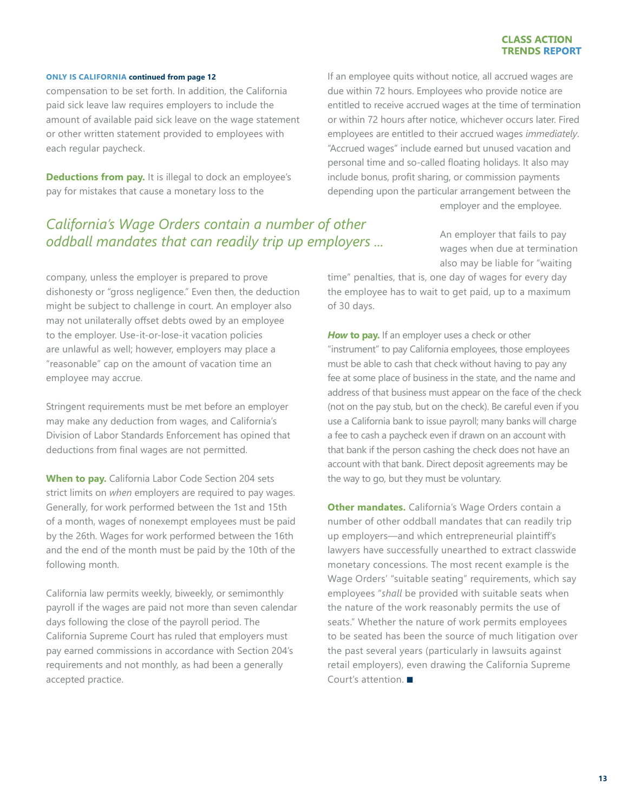#### **ONLY IS CALIFORNIA continued from page 12**

compensation to be set forth. In addition, the California paid sick leave law requires employers to include the amount of available paid sick leave on the wage statement or other written statement provided to employees with each regular paycheck.

**Deductions from pay.** It is illegal to dock an employee's pay for mistakes that cause a monetary loss to the

If an employee quits without notice, all accrued wages are due within 72 hours. Employees who provide notice are entitled to receive accrued wages at the time of termination or within 72 hours after notice, whichever occurs later. Fired employees are entitled to their accrued wages *immediately*. "Accrued wages" include earned but unused vacation and personal time and so-called floating holidays. It also may include bonus, profit sharing, or commission payments depending upon the particular arrangement between the employer and the employee.

*California's Wage Orders contain a number of other oddball mandates that can readily trip up employers ...* 

An employer that fails to pay wages when due at termination also may be liable for "waiting

company, unless the employer is prepared to prove dishonesty or "gross negligence." Even then, the deduction might be subject to challenge in court. An employer also may not unilaterally offset debts owed by an employee to the employer. Use-it-or-lose-it vacation policies are unlawful as well; however, employers may place a "reasonable" cap on the amount of vacation time an employee may accrue.

Stringent requirements must be met before an employer may make any deduction from wages, and California's Division of Labor Standards Enforcement has opined that deductions from final wages are not permitted.

**When to pay.** California Labor Code Section 204 sets strict limits on *when* employers are required to pay wages. Generally, for work performed between the 1st and 15th of a month, wages of nonexempt employees must be paid by the 26th. Wages for work performed between the 16th and the end of the month must be paid by the 10th of the following month.

California law permits weekly, biweekly, or semimonthly payroll if the wages are paid not more than seven calendar days following the close of the payroll period. The California Supreme Court has ruled that employers must pay earned commissions in accordance with Section 204's requirements and not monthly, as had been a generally accepted practice.

time" penalties, that is, one day of wages for every day the employee has to wait to get paid, up to a maximum of 30 days.

*How* **to pay.** If an employer uses a check or other "instrument" to pay California employees, those employees must be able to cash that check without having to pay any fee at some place of business in the state, and the name and address of that business must appear on the face of the check (not on the pay stub, but on the check). Be careful even if you use a California bank to issue payroll; many banks will charge a fee to cash a paycheck even if drawn on an account with that bank if the person cashing the check does not have an account with that bank. Direct deposit agreements may be the way to go, but they must be voluntary.

**Other mandates.** California's Wage Orders contain a number of other oddball mandates that can readily trip up employers—and which entrepreneurial plaintiff's lawyers have successfully unearthed to extract classwide monetary concessions. The most recent example is the Wage Orders' "suitable seating" requirements, which say employees "*shall* be provided with suitable seats when the nature of the work reasonably permits the use of seats." Whether the nature of work permits employees to be seated has been the source of much litigation over the past several years (particularly in lawsuits against retail employers), even drawing the California Supreme Court's attention.  $\blacksquare$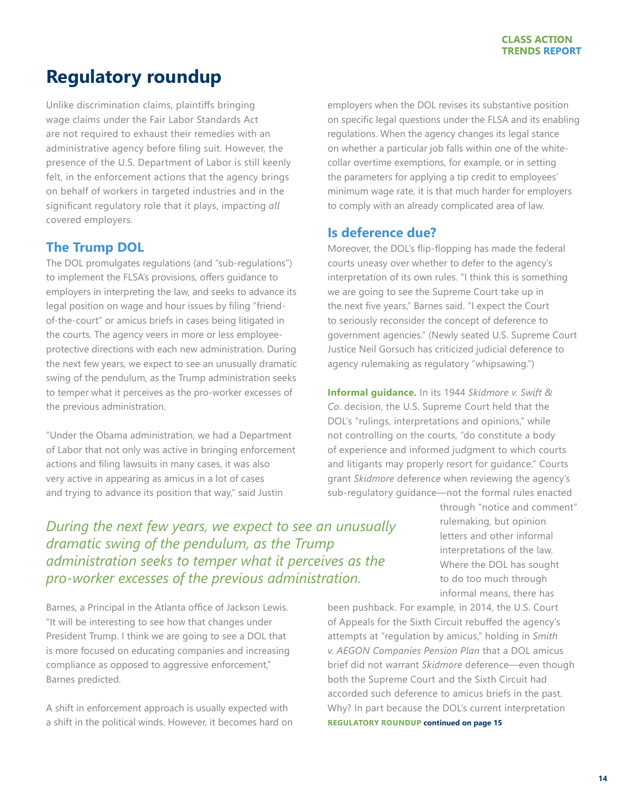## <span id="page-13-0"></span>**Regulatory roundup**

Unlike discrimination claims, plaintiffs bringing wage claims under the Fair Labor Standards Act are not required to exhaust their remedies with an administrative agency before filing suit. However, the presence of the U.S. Department of Labor is still keenly felt, in the enforcement actions that the agency brings on behalf of workers in targeted industries and in the significant regulatory role that it plays, impacting *all* covered employers.

### **The Trump DOL**

The DOL promulgates regulations (and "sub-regulations") to implement the FLSA's provisions, offers guidance to employers in interpreting the law, and seeks to advance its legal position on wage and hour issues by filing "friendof-the-court" or amicus briefs in cases being litigated in the courts. The agency veers in more or less employeeprotective directions with each new administration. During the next few years, we expect to see an unusually dramatic swing of the pendulum, as the Trump administration seeks to temper what it perceives as the pro-worker excesses of the previous administration.

"Under the Obama administration, we had a Department of Labor that not only was active in bringing enforcement actions and filing lawsuits in many cases, it was also very active in appearing as amicus in a lot of cases and trying to advance its position that way," said Justin

employers when the DOL revises its substantive position on specific legal questions under the FLSA and its enabling regulations. When the agency changes its legal stance on whether a particular job falls within one of the whitecollar overtime exemptions, for example, or in setting the parameters for applying a tip credit to employees' minimum wage rate, it is that much harder for employers to comply with an already complicated area of law.

### **Is deference due?**

Moreover, the DOL's flip-flopping has made the federal courts uneasy over whether to defer to the agency's interpretation of its own rules. "I think this is something we are going to see the Supreme Court take up in the next five years," Barnes said. "I expect the Court to seriously reconsider the concept of deference to government agencies." (Newly seated U.S. Supreme Court Justice Neil Gorsuch has criticized judicial deference to agency rulemaking as regulatory "whipsawing.")

**Informal guidance.** In its 1944 *Skidmore v. Swift & Co*. decision, the U.S. Supreme Court held that the DOL's "rulings, interpretations and opinions," while not controlling on the courts, "do constitute a body of experience and informed judgment to which courts and litigants may properly resort for guidance." Courts grant *Skidmore* deference when reviewing the agency's sub-regulatory guidance—not the formal rules enacted

### *During the next few years, we expect to see an unusually dramatic swing of the pendulum, as the Trump administration seeks to temper what it perceives as the pro-worker excesses of the previous administration.*

Barnes, a Principal in the Atlanta office of Jackson Lewis. "It will be interesting to see how that changes under President Trump. I think we are going to see a DOL that is more focused on educating companies and increasing compliance as opposed to aggressive enforcement," Barnes predicted.

A shift in enforcement approach is usually expected with a shift in the political winds. However, it becomes hard on through "notice and comment" rulemaking, but opinion letters and other informal interpretations of the law. Where the DOL has sought to do too much through informal means, there has

been pushback. For example, in 2014, the U.S. Court of Appeals for the Sixth Circuit rebuffed the agency's attempts at "regulation by amicus," holding in *Smith v. AEGON Companies Pension Plan* that a DOL amicus brief did not warrant *Skidmore* deference—even though both the Supreme Court and the Sixth Circuit had accorded such deference to amicus briefs in the past. Why? In part because the DOL's current interpretation **REGULATORY ROUNDUP continued on page 15**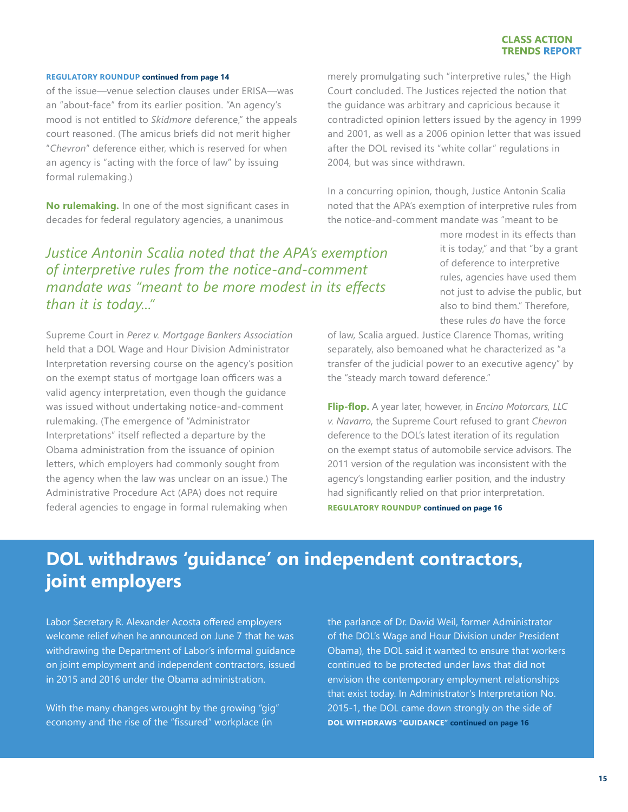#### **REGULATORY ROUNDUP continued from page 14**

of the issue—venue selection clauses under ERISA—was an "about-face" from its earlier position. "An agency's mood is not entitled to *Skidmore* deference," the appeals court reasoned. (The amicus briefs did not merit higher "*Chevron*" deference either, which is reserved for when an agency is "acting with the force of law" by issuing formal rulemaking.)

**No rulemaking.** In one of the most significant cases in decades for federal regulatory agencies, a unanimous

*Justice Antonin Scalia noted that the APA's exemption of interpretive rules from the notice-and-comment mandate was "meant to be more modest in its effects than it is today..."* 

Supreme Court in *Perez v. Mortgage Bankers Association* held that a DOL Wage and Hour Division Administrator Interpretation reversing course on the agency's position on the exempt status of mortgage loan officers was a valid agency interpretation, even though the guidance was issued without undertaking notice-and-comment rulemaking. (The emergence of "Administrator Interpretations" itself reflected a departure by the Obama administration from the issuance of opinion letters, which employers had commonly sought from the agency when the law was unclear on an issue.) The Administrative Procedure Act (APA) does not require federal agencies to engage in formal rulemaking when

merely promulgating such "interpretive rules," the High Court concluded. The Justices rejected the notion that the guidance was arbitrary and capricious because it contradicted opinion letters issued by the agency in 1999 and 2001, as well as a 2006 opinion letter that was issued after the DOL revised its "white collar" regulations in 2004, but was since withdrawn.

In a concurring opinion, though, Justice Antonin Scalia noted that the APA's exemption of interpretive rules from the notice-and-comment mandate was "meant to be

> more modest in its effects than it is today," and that "by a grant of deference to interpretive rules, agencies have used them not just to advise the public, but also to bind them." Therefore, these rules *do* have the force

of law, Scalia argued. Justice Clarence Thomas, writing separately, also bemoaned what he characterized as "a transfer of the judicial power to an executive agency" by the "steady march toward deference."

**Flip-flop.** A year later, however, in *Encino Motorcars, LLC v. Navarro*, the Supreme Court refused to grant *Chevron* deference to the DOL's latest iteration of its regulation on the exempt status of automobile service advisors. The 2011 version of the regulation was inconsistent with the agency's longstanding earlier position, and the industry had significantly relied on that prior interpretation. **REGULATORY ROUNDUP continued on page 16**

## **DOL withdraws 'guidance' on independent contractors, joint employers**

Labor Secretary R. Alexander Acosta offered employers welcome relief when he announced on June 7 that he was withdrawing the Department of Labor's informal guidance on joint employment and independent contractors, issued in 2015 and 2016 under the Obama administration.

With the many changes wrought by the growing "gig" economy and the rise of the "fissured" workplace (in

the parlance of Dr. David Weil, former Administrator of the DOL's Wage and Hour Division under President Obama), the DOL said it wanted to ensure that workers continued to be protected under laws that did not envision the contemporary employment relationships that exist today. In Administrator's Interpretation No. 2015-1, the DOL came down strongly on the side of **DOL WITHDRAWS "GUIDANCE" continued on page 16**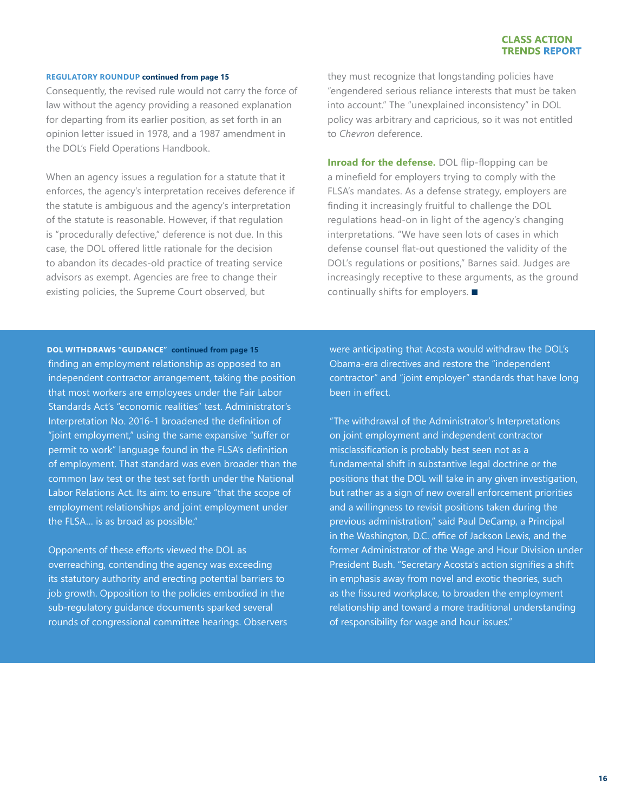### **REGULATORY ROUNDUP continued from page 15**

Consequently, the revised rule would not carry the force of law without the agency providing a reasoned explanation for departing from its earlier position, as set forth in an opinion letter issued in 1978, and a 1987 amendment in the DOL's Field Operations Handbook.

When an agency issues a regulation for a statute that it enforces, the agency's interpretation receives deference if the statute is ambiguous and the agency's interpretation of the statute is reasonable. However, if that regulation is "procedurally defective," deference is not due. In this case, the DOL offered little rationale for the decision to abandon its decades-old practice of treating service advisors as exempt. Agencies are free to change their existing policies, the Supreme Court observed, but

they must recognize that longstanding policies have "engendered serious reliance interests that must be taken into account." The "unexplained inconsistency" in DOL policy was arbitrary and capricious, so it was not entitled to *Chevron* deference.

**Inroad for the defense.** DOL flip-flopping can be a minefield for employers trying to comply with the FLSA's mandates. As a defense strategy, employers are finding it increasingly fruitful to challenge the DOL regulations head-on in light of the agency's changing interpretations. "We have seen lots of cases in which defense counsel flat-out questioned the validity of the DOL's regulations or positions," Barnes said. Judges are increasingly receptive to these arguments, as the ground continually shifts for employers.  $\blacksquare$ 

finding an employment relationship as opposed to an independent contractor arrangement, taking the position that most workers are employees under the Fair Labor Standards Act's "economic realities" test. Administrator's Interpretation No. 2016-1 broadened the definition of "joint employment," using the same expansive "suffer or permit to work" language found in the FLSA's definition of employment. That standard was even broader than the common law test or the test set forth under the National Labor Relations Act. Its aim: to ensure "that the scope of employment relationships and joint employment under the FLSA… is as broad as possible." **DOL WITHDRAWS "GUIDANCE" continued from page 15**

Opponents of these efforts viewed the DOL as overreaching, contending the agency was exceeding its statutory authority and erecting potential barriers to job growth. Opposition to the policies embodied in the sub-regulatory guidance documents sparked several rounds of congressional committee hearings. Observers were anticipating that Acosta would withdraw the DOL's Obama-era directives and restore the "independent contractor" and "joint employer" standards that have long been in effect.

"The withdrawal of the Administrator's Interpretations on joint employment and independent contractor misclassification is probably best seen not as a fundamental shift in substantive legal doctrine or the positions that the DOL will take in any given investigation, but rather as a sign of new overall enforcement priorities and a willingness to revisit positions taken during the previous administration," said Paul DeCamp, a Principal in the Washington, D.C. office of Jackson Lewis, and the former Administrator of the Wage and Hour Division under President Bush. "Secretary Acosta's action signifies a shift in emphasis away from novel and exotic theories, such as the fissured workplace, to broaden the employment relationship and toward a more traditional understanding of responsibility for wage and hour issues."